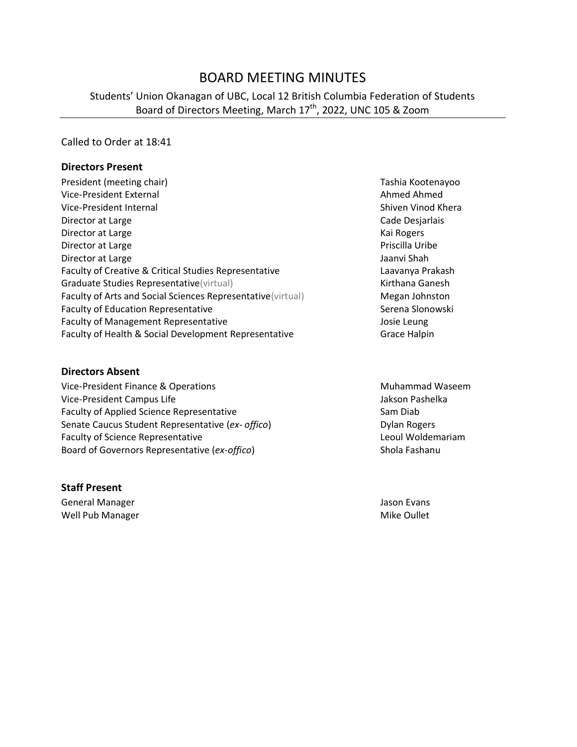# BOARD MEETING MINUTES

## Students' Union Okanagan of UBC, Local 12 British Columbia Federation of Students Board of Directors Meeting, March 17<sup>th</sup>, 2022, UNC 105 & Zoom

#### Called to Order at 18:41

#### **Directors Present**

| President (meeting chair)                                   |
|-------------------------------------------------------------|
| Vice-President External                                     |
| Vice-President Internal                                     |
| Director at Large                                           |
| Director at Large                                           |
| Director at Large                                           |
| Director at Large                                           |
| Faculty of Creative & Critical Studies Representative       |
| Graduate Studies Representative (virtual)                   |
| Faculty of Arts and Social Sciences Representative (virtual |
| <b>Faculty of Education Representative</b>                  |
| <b>Faculty of Management Representative</b>                 |
| Faculty of Health & Social Development Representative       |

#### **Directors Absent**

Vice-President Finance & Operations Muhammad Waseem Vice-President Campus Life **Jakson Pashelka** Faculty of Applied Science Representative Sam Diab Senate Caucus Student Representative (ex- offico) **Dylan Rogers** Dylan Rogers Faculty of Science Representative **Leoul Woldemariam** Board of Governors Representative (*ex-offico*) Shola Fashanu

#### **Staff Present**

General Manager **Jason Evans** Jason Evans Well Pub Manager National Communication of the Mike Oullet

Tashia Kootenayoo Ahmed Ahmed Shiven Vinod Khera Cade Desjarlais Kai Rogers Priscilla Uribe Jaanvi Shah Laavanya Prakash Kirthana Ganesh Faculty of Arts and Society Megan Johnston Serena Slonowski Josie Leung Grace Halpin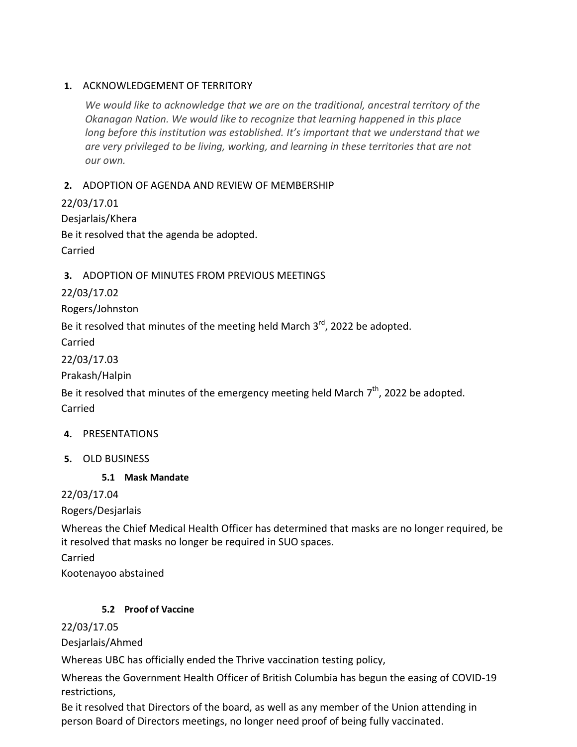#### **1.** ACKNOWLEDGEMENT OF TERRITORY

*We would like to acknowledge that we are on the traditional, ancestral territory of the Okanagan Nation. We would like to recognize that learning happened in this place long before this institution was established. It's important that we understand that we are very privileged to be living, working, and learning in these territories that are not our own.*

## **2.** ADOPTION OF AGENDA AND REVIEW OF MEMBERSHIP

22/03/17.01 Desjarlais/Khera Be it resolved that the agenda be adopted. Carried

## **3.** ADOPTION OF MINUTES FROM PREVIOUS MEETINGS

22/03/17.02

Rogers/Johnston

Be it resolved that minutes of the meeting held March 3<sup>rd</sup>, 2022 be adopted.

Carried

22/03/17.03

Prakash/Halpin

Be it resolved that minutes of the emergency meeting held March  $7<sup>th</sup>$ , 2022 be adopted. Carried

#### **4.** PRESENTATIONS

**5.** OLD BUSINESS

#### **5.1 Mask Mandate**

22/03/17.04

Rogers/Desjarlais

Whereas the Chief Medical Health Officer has determined that masks are no longer required, be it resolved that masks no longer be required in SUO spaces.

Carried

Kootenayoo abstained

#### **5.2 Proof of Vaccine**

22/03/17.05

Desjarlais/Ahmed

Whereas UBC has officially ended the Thrive vaccination testing policy,

Whereas the Government Health Officer of British Columbia has begun the easing of COVID-19 restrictions,

Be it resolved that Directors of the board, as well as any member of the Union attending in person Board of Directors meetings, no longer need proof of being fully vaccinated.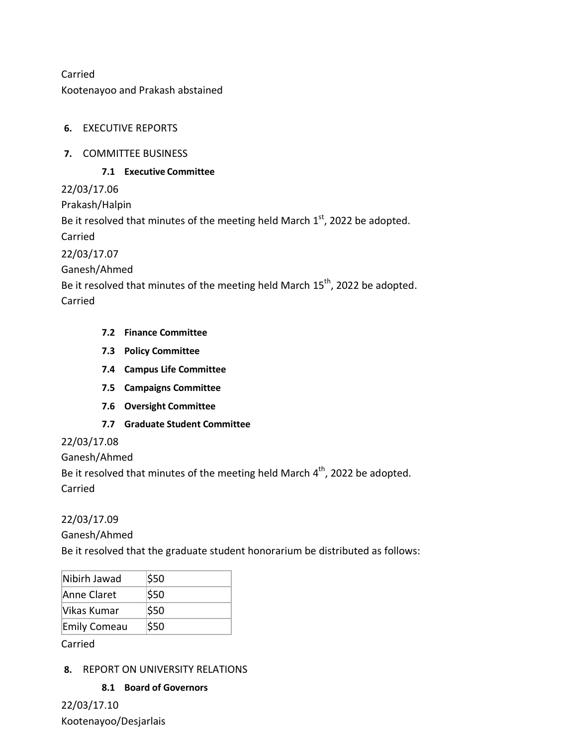Carried Kootenayoo and Prakash abstained

## **6.** EXECUTIVE REPORTS

#### **7.** COMMITTEE BUSINESS

#### **7.1 Executive Committee**

22/03/17.06

Prakash/Halpin

Be it resolved that minutes of the meeting held March  $1<sup>st</sup>$ , 2022 be adopted.

Carried

22/03/17.07

Ganesh/Ahmed

Be it resolved that minutes of the meeting held March 15<sup>th</sup>, 2022 be adopted.

Carried

## **7.2 Finance Committee**

- **7.3 Policy Committee**
- **7.4 Campus Life Committee**
- **7.5 Campaigns Committee**
- **7.6 Oversight Committee**
- **7.7 Graduate Student Committee**

## 22/03/17.08

Ganesh/Ahmed

Be it resolved that minutes of the meeting held March 4<sup>th</sup>, 2022 be adopted.

Carried

## 22/03/17.09

Ganesh/Ahmed

Be it resolved that the graduate student honorarium be distributed as follows:

| Nibirh Jawad        | \$50 |
|---------------------|------|
| Anne Claret         | \$50 |
| Vikas Kumar         | \$50 |
| <b>Emily Comeau</b> | \$50 |

Carried

## **8.** REPORT ON UNIVERSITY RELATIONS

#### **8.1 Board of Governors**

22/03/17.10 Kootenayoo/Desjarlais